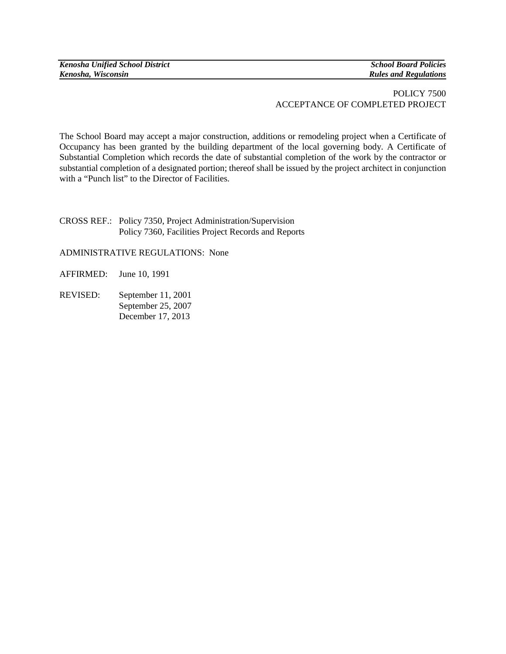*Kenosha Unified School District* School Board Policies<br> *Kenosha, Wisconsin*<br> *Kenosha, Wisconsin* 

*Kenosha, Wisconsin Rules and Regulations*

## POLICY 7500 ACCEPTANCE OF COMPLETED PROJECT

The School Board may accept a major construction, additions or remodeling project when a Certificate of Occupancy has been granted by the building department of the local governing body. A Certificate of Substantial Completion which records the date of substantial completion of the work by the contractor or substantial completion of a designated portion; thereof shall be issued by the project architect in conjunction with a "Punch list" to the Director of Facilities.

CROSS REF.: Policy 7350, Project Administration/Supervision Policy 7360, Facilities Project Records and Reports

ADMINISTRATIVE REGULATIONS: None

AFFIRMED: June 10, 1991

REVISED: September 11, 2001 September 25, 2007 December 17, 2013